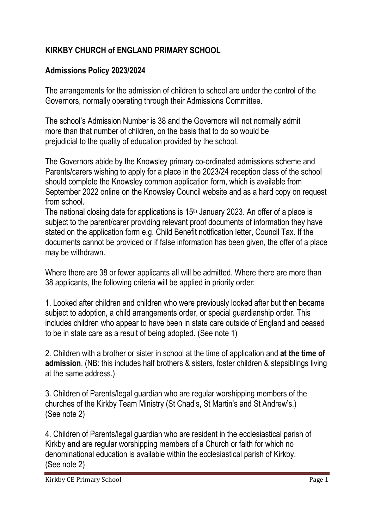## **KIRKBY CHURCH of ENGLAND PRIMARY SCHOOL**

## **Admissions Policy 2023/2024**

The arrangements for the admission of children to school are under the control of the Governors, normally operating through their Admissions Committee.

The school's Admission Number is 38 and the Governors will not normally admit more than that number of children, on the basis that to do so would be prejudicial to the quality of education provided by the school.

The Governors abide by the Knowsley primary co-ordinated admissions scheme and Parents/carers wishing to apply for a place in the 2023/24 reception class of the school should complete the Knowsley common application form, which is available from September 2022 online on the Knowsley Council website and as a hard copy on request from school.

The national closing date for applications is 15<sup>th</sup> January 2023. An offer of a place is subject to the parent/carer providing relevant proof documents of information they have stated on the application form e.g. Child Benefit notification letter, Council Tax. If the documents cannot be provided or if false information has been given, the offer of a place may be withdrawn.

Where there are 38 or fewer applicants all will be admitted. Where there are more than 38 applicants, the following criteria will be applied in priority order:

1. Looked after children and children who were previously looked after but then became subject to adoption, a child arrangements order, or special guardianship order. This includes children who appear to have been in state care outside of England and ceased to be in state care as a result of being adopted. (See note 1)

2. Children with a brother or sister in school at the time of application and **at the time of admission**. (NB: this includes half brothers & sisters, foster children & stepsiblings living at the same address.)

3. Children of Parents/legal guardian who are regular worshipping members of the churches of the Kirkby Team Ministry (St Chad's, St Martin's and St Andrew's.) (See note 2)

4. Children of Parents/legal guardian who are resident in the ecclesiastical parish of Kirkby **and** are regular worshipping members of a Church or faith for which no denominational education is available within the ecclesiastical parish of Kirkby. (See note 2)